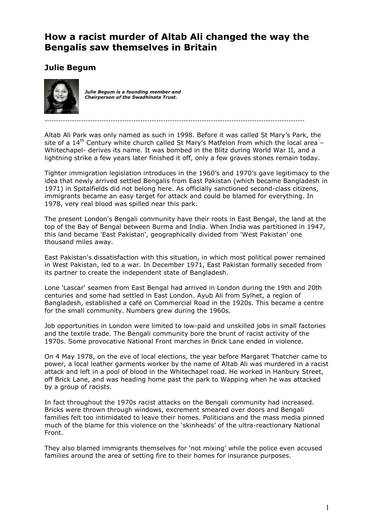## **How a racist murder of Altab Ali changed the way the Bengalis saw themselves in Britain**

## **Julie Begum**



*Julie Begum is a founding member and Chairperson of the Swadhinata Trust.* 

------------------------------------------------------------------------------------------------------------------

Altab Ali Park was only named as such in 1998. Before it was called St Mary's Park, the site of a  $14<sup>th</sup>$  Century white church called St Mary's Matfelon from which the local area -Whitechapel- derives its name. It was bombed in the Blitz during World War II, and a lightning strike a few years later finished it off, only a few graves stones remain today.

Tighter immigration legislation introduces in the 1960's and 1970's gave legitimacy to the idea that newly arrived settled Bengalis from East Pakistan (which became Bangladesh in 1971) in Spitalfields did not belong here. As officially sanctioned second-class citizens, immigrants became an easy target for attack and could be blamed for everything. In 1978, very real blood was spilled near this park.

The present London's Bengali community have their roots in East Bengal, the land at the top of the Bay of Bengal between Burma and India. When India was partitioned in 1947, this land became 'East Pakistan', geographically divided from 'West Pakistan' one thousand miles away.

East Pakistan's dissatisfaction with this situation, in which most political power remained in West Pakistan, led to a war. In December 1971, East Pakistan formally seceded from its partner to create the independent state of Bangladesh.

Lone 'Lascar' seamen from East Bengal had arrived in London during the 19th and 20th centuries and some had settled in East London. Ayub Ali from Sylhet, a region of Bangladesh, established a café on Commercial Road in the 1920s. This became a centre for the small community. Numbers grew during the 1960s.

Job opportunities in London were limited to low-paid and unskilled jobs in small factories and the textile trade. The Bengali community bore the brunt of racist activity of the 1970s. Some provocative National Front marches in Brick Lane ended in violence.

On 4 May 1978, on the eve of local elections, the year before Margaret Thatcher came to power, a local leather garments worker by the name of Altab Ali was murdered in a racist attack and left in a pool of blood in the Whitechapel road. He worked in Hanbury Street, off Brick Lane, and was heading home past the park to Wapping when he was attacked by a group of racists.

In fact throughout the 1970s racist attacks on the Bengali community had increased. Bricks were thrown through windows, excrement smeared over doors and Bengali families felt too intimidated to leave their homes. Politicians and the mass media pinned much of the blame for this violence on the 'skinheads' of the ultra-reactionary National Front.

They also blamed immigrants themselves for 'not mixing' while the police even accused families around the area of setting fire to their homes for insurance purposes.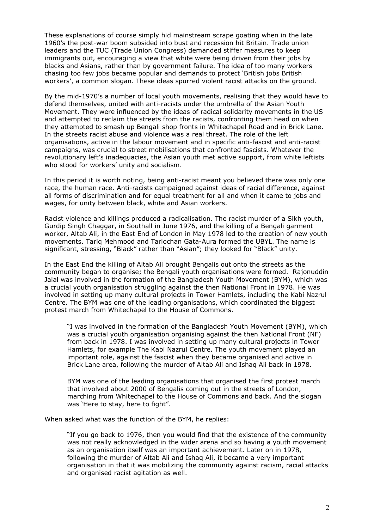These explanations of course simply hid mainstream scrape goating when in the late 1960's the post-war boom subsided into bust and recession hit Britain. Trade union leaders and the TUC (Trade Union Congress) demanded stiffer measures to keep immigrants out, encouraging a view that white were being driven from their jobs by blacks and Asians, rather than by government failure. The idea of too many workers chasing too few jobs became popular and demands to protect 'British jobs British workers', a common slogan. These ideas spurred violent racist attacks on the ground.

By the mid-1970's a number of local youth movements, realising that they would have to defend themselves, united with anti-racists under the umbrella of the Asian Youth Movement. They were influenced by the ideas of radical solidarity movements in the US and attempted to reclaim the streets from the racists, confronting them head on when they attempted to smash up Bengali shop fronts in Whitechapel Road and in Brick Lane. In the streets racist abuse and violence was a real threat. The role of the left organisations, active in the labour movement and in specific anti-fascist and anti-racist campaigns, was crucial to street mobilisations that confronted fascists. Whatever the revolutionary left's inadequacies, the Asian youth met active support, from white leftists who stood for workers' unity and socialism.

In this period it is worth noting, being anti-racist meant you believed there was only one race, the human race. Anti-racists campaigned against ideas of racial difference, against all forms of discrimination and for equal treatment for all and when it came to jobs and wages, for unity between black, white and Asian workers.

Racist violence and killings produced a radicalisation. The racist murder of a Sikh youth, Gurdip Singh Chaggar, in Southall in June 1976, and the killing of a Bengali garment worker, Altab Ali, in the East End of London in May 1978 led to the creation of new youth movements. Tariq Mehmood and Tarlochan Gata-Aura formed the UBYL. The name is significant, stressing, "Black" rather than "Asian"; they looked for "Black" unity.

In the East End the killing of Altab Ali brought Bengalis out onto the streets as the community began to organise; the Bengali youth organisations were formed. Rajonuddin Jalal was involved in the formation of the Bangladesh Youth Movement (BYM), which was a crucial youth organisation struggling against the then National Front in 1978. He was involved in setting up many cultural projects in Tower Hamlets, including the Kabi Nazrul Centre. The BYM was one of the leading organisations, which coordinated the biggest protest march from Whitechapel to the House of Commons.

"I was involved in the formation of the Bangladesh Youth Movement (BYM), which was a crucial youth organisation organising against the then National Front (NF) from back in 1978. I was involved in setting up many cultural projects in Tower Hamlets, for example The Kabi Nazrul Centre. The youth movement played an important role, against the fascist when they became organised and active in Brick Lane area, following the murder of Altab Ali and Ishaq Ali back in 1978.

BYM was one of the leading organisations that organised the first protest march that involved about 2000 of Bengalis coming out in the streets of London, marching from Whitechapel to the House of Commons and back. And the slogan was 'Here to stay, here to fight".

When asked what was the function of the BYM, he replies:

"If you go back to 1976, then you would find that the existence of the community was not really acknowledged in the wider arena and so having a youth movement as an organisation itself was an important achievement. Later on in 1978, following the murder of Altab Ali and Ishaq Ali, it became a very important organisation in that it was mobilizing the community against racism, racial attacks and organised racist agitation as well.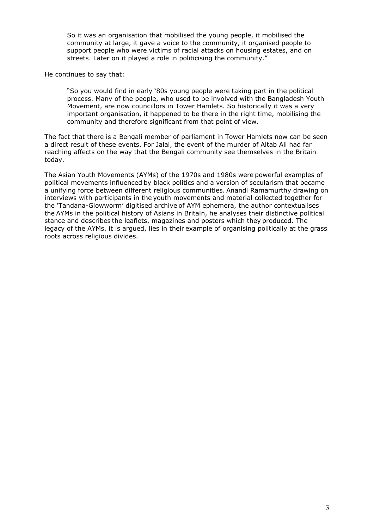So it was an organisation that mobilised the young people, it mobilised the community at large, it gave a voice to the community, it organised people to support people who were victims of racial attacks on housing estates, and on streets. Later on it played a role in politicising the community."

He continues to say that:

"So you would find in early '80s young people were taking part in the political process. Many of the people, who used to be involved with the Bangladesh Youth Movement, are now councillors in Tower Hamlets. So historically it was a very important organisation, it happened to be there in the right time, mobilising the community and therefore significant from that point of view.

The fact that there is a Bengali member of parliament in Tower Hamlets now can be seen a direct result of these events. For Jalal, the event of the murder of Altab Ali had far reaching affects on the way that the Bengali community see themselves in the Britain today.

The Asian Youth Movements (AYMs) of the 1970s and 1980s were powerful examples of political movements influenced by black politics and a version of secularism that became a unifying force between different religious communities. Anandi Ramamurthy drawing on interviews with participants in the youth movements and material collected together for the 'Tandana-Glowworm' digitised archive of AYM ephemera, the author contextualises the AYMs in the political history of Asians in Britain, he analyses their distinctive political stance and describes the leaflets, magazines and posters which they produced. The legacy of the AYMs, it is argued, lies in their example of organising politically at the grass roots across religious divides.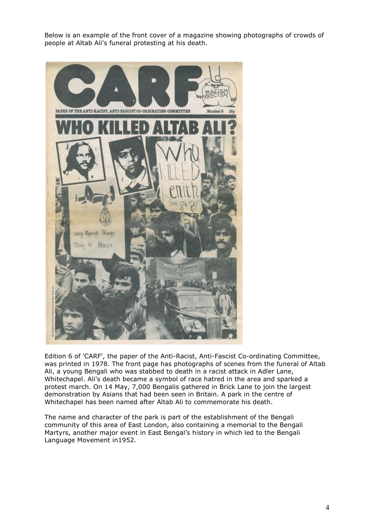Below is an example of the front cover of a magazine showing photographs of crowds of people at Altab Ali's funeral protesting at his death.



Edition 6 of 'CARF', the paper of the Anti-Racist, Anti-Fascist Co-ordinating Committee, was printed in 1978. The front page has photographs of scenes from the funeral of Altab Ali, a young Bengali who was stabbed to death in a racist attack in Adler Lane, Whitechapel. Ali's death became a symbol of race hatred in the area and sparked a protest march. On 14 May, 7,000 Bengalis gathered in Brick Lane to join the largest demonstration by Asians that had been seen in Britain. A park in the centre of Whitechapel has been named after Altab Ali to commemorate his death.

The name and character of the park is part of the establishment of the Bengali community of this area of East London, also containing a memorial to the Bengali Martyrs, another major event in East Bengal's history in which led to the Bengali Language Movement in1952.